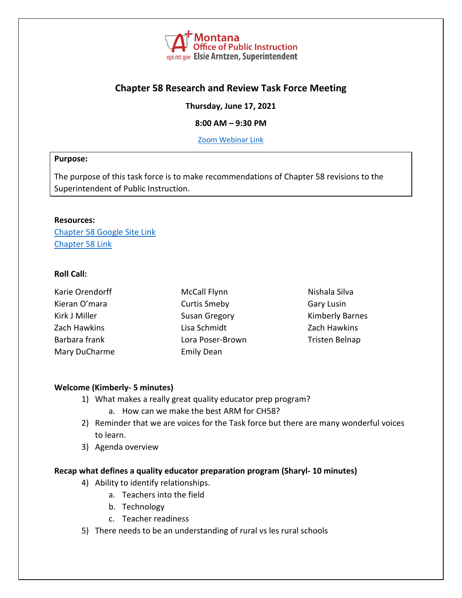

# **Chapter 58 Research and Review Task Force Meeting**

**Thursday, June 17, 2021**

#### **8:00 AM – 9:30 PM**

[Zoom Webinar](https://mt-gov.zoom.us/j/83347453129?pwd=bkZKNGpyTVRqOEtOZGt6YkNnYm1zUT09) Link

#### **Purpose:**

The purpose of this task force is to make recommendations of Chapter 58 revisions to the Superintendent of Public Instruction.

#### **Resources:**

Chapter 58 [Google Site Link](https://sites.google.com/opiconnect.org/chapter58/home) [Chapter 58](http://www.mtrules.org/gateway/ChapterHome.asp?Chapter=10%2E58) Link

# **Roll Call:**

| Karie Orendorff | <b>McCall Flynn</b>  | Nishala Silva          |
|-----------------|----------------------|------------------------|
| Kieran O'mara   | <b>Curtis Smeby</b>  | Gary Lusin             |
| Kirk J Miller   | <b>Susan Gregory</b> | <b>Kimberly Barnes</b> |
| Zach Hawkins    | Lisa Schmidt         | Zach Hawkins           |
| Barbara frank   | Lora Poser-Brown     | Tristen Belnap         |
| Mary DuCharme   | <b>Emily Dean</b>    |                        |

#### **Welcome (Kimberly- 5 minutes)**

- 1) What makes a really great quality educator prep program?
	- a. How can we make the best ARM for CH58?
- 2) Reminder that we are voices for the Task force but there are many wonderful voices to learn.
- 3) Agenda overview

### **Recap what defines a quality educator preparation program (Sharyl- 10 minutes)**

- 4) Ability to identify relationships.
	- a. Teachers into the field
	- b. Technology
	- c. Teacher readiness
- 5) There needs to be an understanding of rural vs les rural schools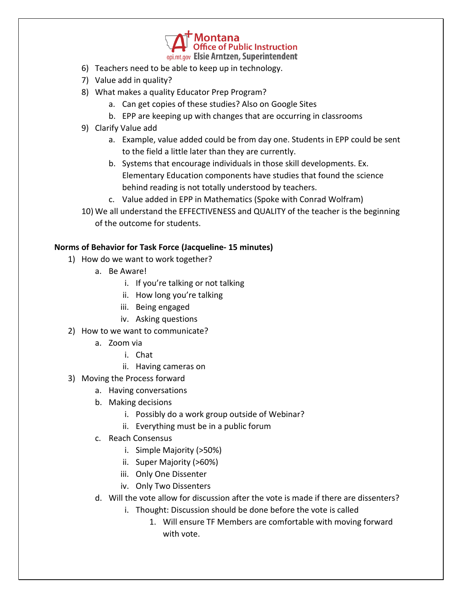

- 6) Teachers need to be able to keep up in technology.
- 7) Value add in quality?
- 8) What makes a quality Educator Prep Program?
	- a. Can get copies of these studies? Also on Google Sites
	- b. EPP are keeping up with changes that are occurring in classrooms
- 9) Clarify Value add
	- a. Example, value added could be from day one. Students in EPP could be sent to the field a little later than they are currently.
	- b. Systems that encourage individuals in those skill developments. Ex. Elementary Education components have studies that found the science behind reading is not totally understood by teachers.
	- c. Value added in EPP in Mathematics (Spoke with Conrad Wolfram)
- 10) We all understand the EFFECTIVENESS and QUALITY of the teacher is the beginning of the outcome for students.

# **Norms of Behavior for Task Force (Jacqueline- 15 minutes)**

- 1) How do we want to work together?
	- a. Be Aware!
		- i. If you're talking or not talking
		- ii. How long you're talking
		- iii. Being engaged
		- iv. Asking questions
- 2) How to we want to communicate?
	- a. Zoom via
		- i. Chat
		- ii. Having cameras on
- 3) Moving the Process forward
	- a. Having conversations
	- b. Making decisions
		- i. Possibly do a work group outside of Webinar?
		- ii. Everything must be in a public forum
	- c. Reach Consensus
		- i. Simple Majority (>50%)
		- ii. Super Majority (>60%)
		- iii. Only One Dissenter
		- iv. Only Two Dissenters
	- d. Will the vote allow for discussion after the vote is made if there are dissenters?
		- i. Thought: Discussion should be done before the vote is called
			- 1. Will ensure TF Members are comfortable with moving forward with vote.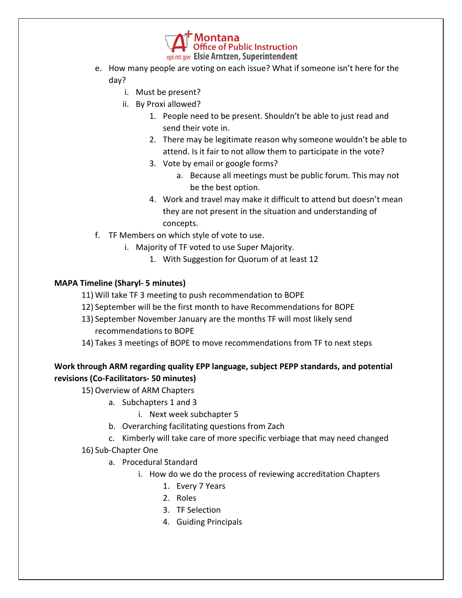

- e. How many people are voting on each issue? What if someone isn't here for the day?
	- i. Must be present?
	- ii. By Proxi allowed?
		- 1. People need to be present. Shouldn't be able to just read and send their vote in.
		- 2. There may be legitimate reason why someone wouldn't be able to attend. Is it fair to not allow them to participate in the vote?
		- 3. Vote by email or google forms?
			- a. Because all meetings must be public forum. This may not be the best option.
		- 4. Work and travel may make it difficult to attend but doesn't mean they are not present in the situation and understanding of concepts.
- f. TF Members on which style of vote to use.
	- i. Majority of TF voted to use Super Majority.
		- 1. With Suggestion for Quorum of at least 12

# **MAPA Timeline (Sharyl- 5 minutes)**

- 11) Will take TF 3 meeting to push recommendation to BOPE
- 12) September will be the first month to have Recommendations for BOPE
- 13) September November January are the months TF will most likely send recommendations to BOPE
- 14) Takes 3 meetings of BOPE to move recommendations from TF to next steps

# **Work through ARM regarding quality EPP language, subject PEPP standards, and potential revisions (Co-Facilitators- 50 minutes)**

15) Overview of ARM Chapters

- a. Subchapters 1 and 3
	- i. Next week subchapter 5
- b. Overarching facilitating questions from Zach
- c. Kimberly will take care of more specific verbiage that may need changed
- 16) Sub-Chapter One
	- a. Procedural Standard
		- i. How do we do the process of reviewing accreditation Chapters
			- 1. Every 7 Years
			- 2. Roles
			- 3. TF Selection
			- 4. Guiding Principals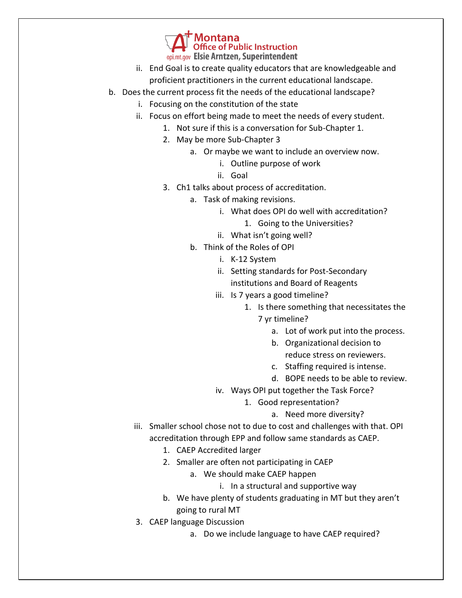**Office of Public Instruction** opi.mt.gov Elsie Arntzen, Superintendent

- ii. End Goal is to create quality educators that are knowledgeable and proficient practitioners in the current educational landscape.
- b. Does the current process fit the needs of the educational landscape?
	- i. Focusing on the constitution of the state
	- ii. Focus on effort being made to meet the needs of every student.
		- 1. Not sure if this is a conversation for Sub-Chapter 1.
		- 2. May be more Sub-Chapter 3
			- a. Or maybe we want to include an overview now.
				- i. Outline purpose of work
				- ii. Goal
		- 3. Ch1 talks about process of accreditation.
			- a. Task of making revisions.
				- i. What does OPI do well with accreditation?
					- 1. Going to the Universities?
				- ii. What isn't going well?
			- b. Think of the Roles of OPI
				- i. K-12 System
				- ii. Setting standards for Post-Secondary institutions and Board of Reagents
				- iii. Is 7 years a good timeline?
					- 1. Is there something that necessitates the 7 yr timeline?
						- a. Lot of work put into the process.
						- b. Organizational decision to
							- reduce stress on reviewers.
						- c. Staffing required is intense.
						- d. BOPE needs to be able to review.
				- iv. Ways OPI put together the Task Force?
					- 1. Good representation?
						- a. Need more diversity?
	- iii. Smaller school chose not to due to cost and challenges with that. OPI accreditation through EPP and follow same standards as CAEP.
		- 1. CAEP Accredited larger
		- 2. Smaller are often not participating in CAEP
			- a. We should make CAEP happen
				- i. In a structural and supportive way
		- b. We have plenty of students graduating in MT but they aren't going to rural MT
	- 3. CAEP language Discussion
		- a. Do we include language to have CAEP required?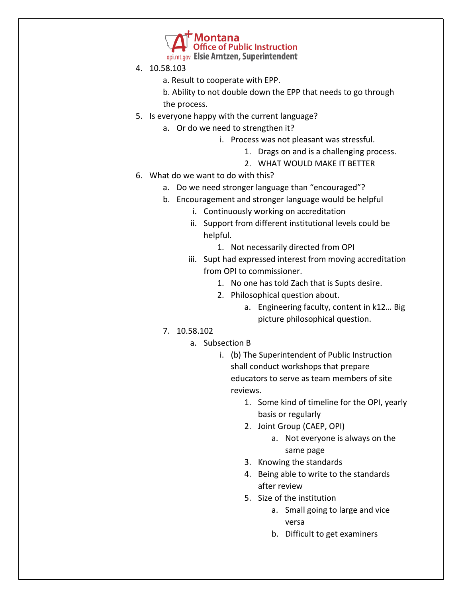**Office of Public Instruction** opi.mt.gov Elsie Arntzen, Superintendent

- 4. 10.58.103
	- a. Result to cooperate with EPP.

b. Ability to not double down the EPP that needs to go through the process.

- 5. Is everyone happy with the current language?
	- a. Or do we need to strengthen it?
		- i. Process was not pleasant was stressful.
			- 1. Drags on and is a challenging process.
			- 2. WHAT WOULD MAKE IT BETTER
- 6. What do we want to do with this?
	- a. Do we need stronger language than "encouraged"?
	- b. Encouragement and stronger language would be helpful
		- i. Continuously working on accreditation
		- ii. Support from different institutional levels could be helpful.
			- 1. Not necessarily directed from OPI
		- iii. Supt had expressed interest from moving accreditation from OPI to commissioner.
			- 1. No one has told Zach that is Supts desire.
			- 2. Philosophical question about.
				- a. Engineering faculty, content in k12… Big picture philosophical question.
	- 7. 10.58.102
		- a. Subsection B
			- i. (b) The Superintendent of Public Instruction shall conduct workshops that prepare educators to serve as team members of site reviews.
				- 1. Some kind of timeline for the OPI, yearly basis or regularly
				- 2. Joint Group (CAEP, OPI)
					- a. Not everyone is always on the same page
				- 3. Knowing the standards
				- 4. Being able to write to the standards after review
				- 5. Size of the institution
					- a. Small going to large and vice versa
					- b. Difficult to get examiners